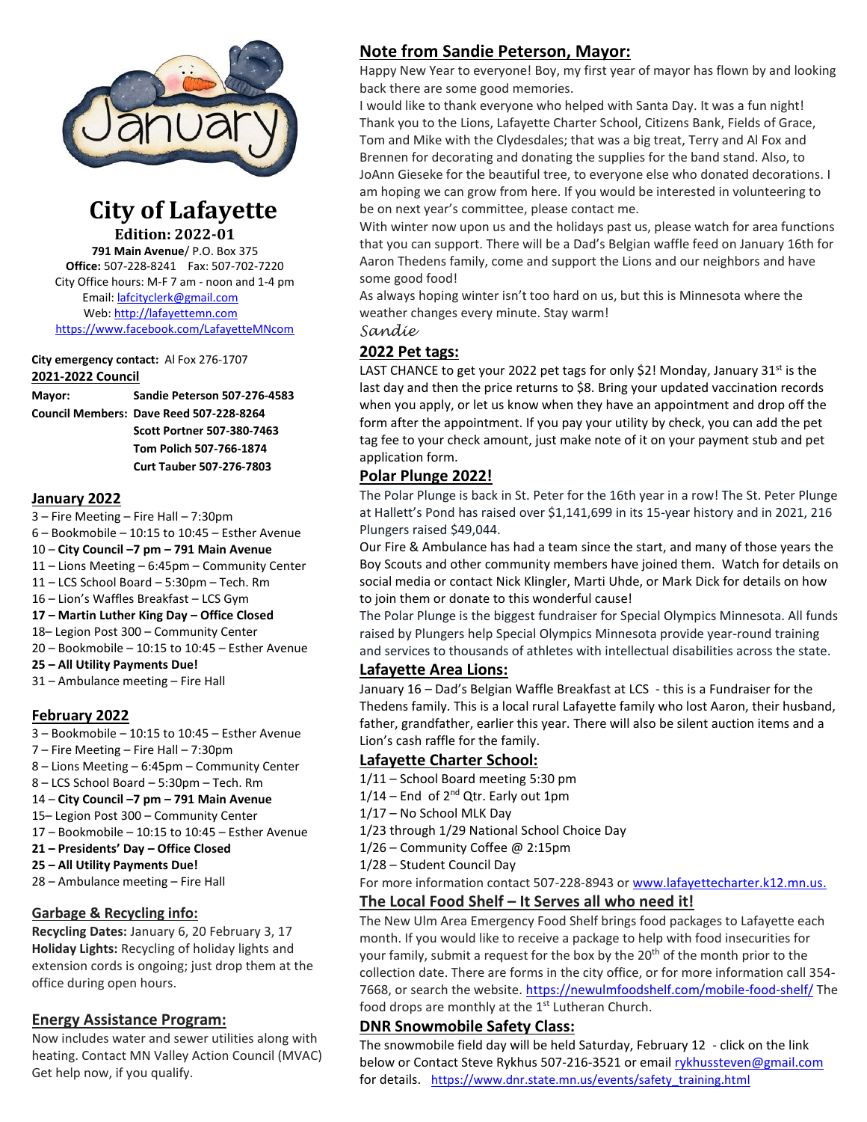

# **City of Lafayette Edition: 2022-01**

**791 Main Avenue**/ P.O. Box 375 **Office:** 507-228-8241 Fax: 507-702-7220 City Office hours: M-F 7 am - noon and 1-4 pm Email: [lafcityclerk@gmail.com](mailto:lafcityclerk@gmail.com) Web[: http://lafayettemn.com](http://lafayettemn.com/) <https://www.facebook.com/LafayetteMNcom>

#### **City emergency contact:** Al Fox 276-1707 **2021-2022 Council**

**Mayor: Sandie Peterson 507-276-4583 Council Members: Dave Reed 507-228-8264 Scott Portner 507-380-7463 Tom Polich 507-766-1874 Curt Tauber 507-276-7803**

#### **January 2022**

- 3 Fire Meeting Fire Hall 7:30pm
- 6 Bookmobile 10:15 to 10:45 Esther Avenue
- 10 **City Council –7 pm – 791 Main Avenue**
- 11 Lions Meeting 6:45pm Community Center
- 11 LCS School Board 5:30pm Tech. Rm
- 16 Lion's Waffles Breakfast LCS Gym
- **17 – Martin Luther King Day – Office Closed**
- 18– Legion Post 300 Community Center
- 20 Bookmobile 10:15 to 10:45 Esther Avenue
- **25 – All Utility Payments Due!**
- 31 Ambulance meeting Fire Hall

## **February 2022**

- 3 Bookmobile 10:15 to 10:45 Esther Avenue
- 7 Fire Meeting Fire Hall 7:30pm
- 8 Lions Meeting 6:45pm Community Center
- 8 LCS School Board 5:30pm Tech. Rm
- 14 **City Council –7 pm – 791 Main Avenue**
- 15– Legion Post 300 Community Center
- 17 Bookmobile 10:15 to 10:45 Esther Avenue
- **21 – Presidents' Day – Office Closed**
- **25 – All Utility Payments Due!**
- 28 Ambulance meeting Fire Hall

# **Garbage & Recycling info:**

**Recycling Dates:** January 6, 20 February 3, 17 **Holiday Lights:** Recycling of holiday lights and extension cords is ongoing; just drop them at the office during open hours.

# **Energy Assistance Program:**

Now includes water and sewer utilities along with heating. Contact MN Valley Action Council (MVAC) Get help now, if you qualify.

# **Note from Sandie Peterson, Mayor:**

Happy New Year to everyone! Boy, my first year of mayor has flown by and looking back there are some good memories.

I would like to thank everyone who helped with Santa Day. It was a fun night! Thank you to the Lions, Lafayette Charter School, Citizens Bank, Fields of Grace, Tom and Mike with the Clydesdales; that was a big treat, Terry and Al Fox and Brennen for decorating and donating the supplies for the band stand. Also, to JoAnn Gieseke for the beautiful tree, to everyone else who donated decorations. I am hoping we can grow from here. If you would be interested in volunteering to be on next year's committee, please contact me.

With winter now upon us and the holidays past us, please watch for area functions that you can support. There will be a Dad's Belgian waffle feed on January 16th for Aaron Thedens family, come and support the Lions and our neighbors and have some good food!

As always hoping winter isn't too hard on us, but this is Minnesota where the weather changes every minute. Stay warm!

*Sandie*

# **2022 Pet tags:**

LAST CHANCE to get your 2022 pet tags for only \$2! Monday, January  $31^{st}$  is the last day and then the price returns to \$8. Bring your updated vaccination records when you apply, or let us know when they have an appointment and drop off the form after the appointment. If you pay your utility by check, you can add the pet tag fee to your check amount, just make note of it on your payment stub and pet application form.

# **Polar Plunge 2022!**

The Polar Plunge is back in St. Peter for the 16th year in a row! The St. Peter Plunge at Hallett's Pond has raised over \$1,141,699 in its 15-year history and in 2021, 216 Plungers raised \$49,044.

Our Fire & Ambulance has had a team since the start, and many of those years the Boy Scouts and other community members have joined them. Watch for details on social media or contact Nick Klingler, Marti Uhde, or Mark Dick for details on how to join them or donate to this wonderful cause!

The Polar Plunge is the biggest fundraiser for Special Olympics Minnesota. All funds raised by Plungers help Special Olympics Minnesota provide year-round training and services to thousands of athletes with intellectual disabilities across the state.

## **Lafayette Area Lions:**

January 16 – Dad's Belgian Waffle Breakfast at LCS - this is a Fundraiser for the Thedens family. This is a local rural Lafayette family who lost Aaron, their husband, father, grandfather, earlier this year. There will also be silent auction items and a Lion's cash raffle for the family.

# **Lafayette Charter School:**

- 1/11 School Board meeting 5:30 pm
- $1/14$  End of  $2<sup>nd</sup>$  Qtr. Early out 1pm
- 1/17 No School MLK Day
- 1/23 through 1/29 National School Choice Day
- 1/26 Community Coffee @ 2:15pm
- 1/28 Student Council Day

For more information contact 507-228-8943 or [www.lafayettecharter.k12.mn.us.](http://www.lafayettecharter.k12.mn.us/)

## **The Local Food Shelf – It Serves all who need it!**

The New Ulm Area Emergency Food Shelf brings food packages to Lafayette each month. If you would like to receive a package to help with food insecurities for your family, submit a request for the box by the 20<sup>th</sup> of the month prior to the collection date. There are forms in the city office, or for more information call 354- 7668, or search the website[. https://newulmfoodshelf.com/mobile-food-shelf/](https://newulmfoodshelf.com/mobile-food-shelf/) The food drops are monthly at the 1<sup>st</sup> Lutheran Church.

## **DNR Snowmobile Safety Class:**

The snowmobile field day will be held Saturday, February 12 - click on the link below or Contact Steve Rykhus 507-216-3521 or emai[l rykhussteven@gmail.com](mailto:rykhussteven@gmail.com) for details. [https://www.dnr.state.mn.us/events/safety\\_training.html](https://www.dnr.state.mn.us/events/safety_training.html)